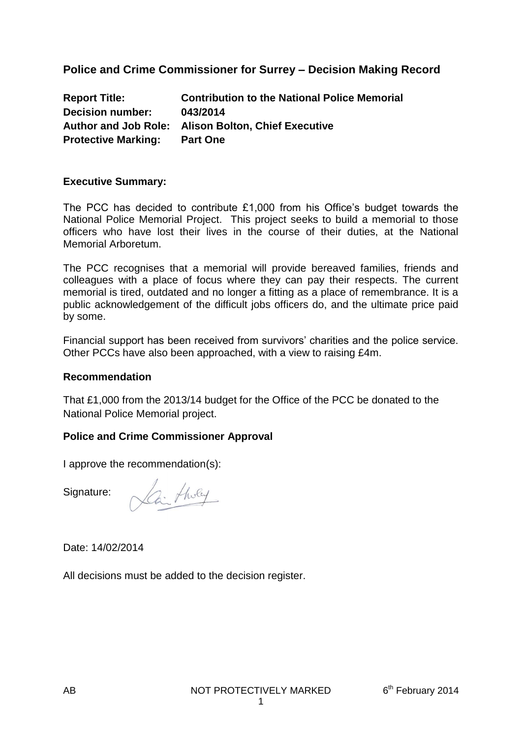### **Police and Crime Commissioner for Surrey – Decision Making Record**

| <b>Report Title:</b>       | <b>Contribution to the National Police Memorial</b> |
|----------------------------|-----------------------------------------------------|
| <b>Decision number:</b>    | 043/2014                                            |
|                            | Author and Job Role: Alison Bolton, Chief Executive |
| <b>Protective Marking:</b> | <b>Part One</b>                                     |

#### **Executive Summary:**

The PCC has decided to contribute £1,000 from his Office's budget towards the National Police Memorial Project. This project seeks to build a memorial to those officers who have lost their lives in the course of their duties, at the National Memorial Arboretum.

The PCC recognises that a memorial will provide bereaved families, friends and colleagues with a place of focus where they can pay their respects. The current memorial is tired, outdated and no longer a fitting as a place of remembrance. It is a public acknowledgement of the difficult jobs officers do, and the ultimate price paid by some.

Financial support has been received from survivors' charities and the police service. Other PCCs have also been approached, with a view to raising £4m.

#### **Recommendation**

That £1,000 from the 2013/14 budget for the Office of the PCC be donated to the National Police Memorial project.

#### **Police and Crime Commissioner Approval**

I approve the recommendation(s):

Signature:

Lai tholy

Date: 14/02/2014

All decisions must be added to the decision register.